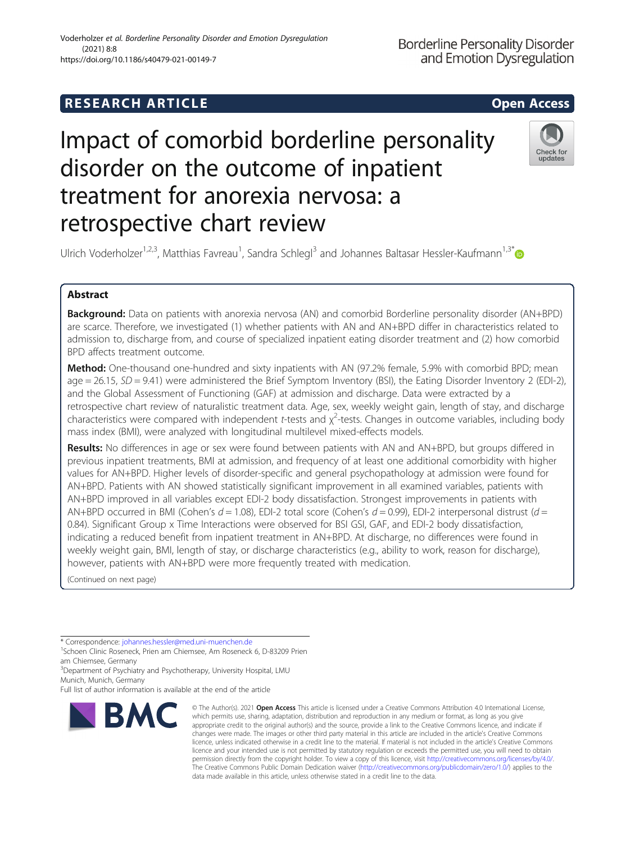# Impact of comorbid borderline personality disorder on the outcome of inpatient treatment for anorexia nervosa: a retrospective chart review



Ulrich Voderholzer<sup>1,2,3</sup>, Matthias Favreau<sup>1</sup>, Sandra Schlegl<sup>3</sup> and Johannes Baltasar Hessler-Kaufmann<sup>1,3\*</sup>

## Abstract

Background: Data on patients with anorexia nervosa (AN) and comorbid Borderline personality disorder (AN+BPD) are scarce. Therefore, we investigated (1) whether patients with AN and AN+BPD differ in characteristics related to admission to, discharge from, and course of specialized inpatient eating disorder treatment and (2) how comorbid BPD affects treatment outcome.

Method: One-thousand one-hundred and sixty inpatients with AN (97.2% female, 5.9% with comorbid BPD; mean  $aq = 26.15$ ,  $SD = 9.41$ ) were administered the Brief Symptom Inventory (BSI), the Eating Disorder Inventory 2 (EDI-2), and the Global Assessment of Functioning (GAF) at admission and discharge. Data were extracted by a retrospective chart review of naturalistic treatment data. Age, sex, weekly weight gain, length of stay, and discharge characteristics were compared with independent t-tests and x<sup>2</sup>-tests. Changes in outcome variables, including body mass index (BMI), were analyzed with longitudinal multilevel mixed-effects models.

Results: No differences in age or sex were found between patients with AN and AN+BPD, but groups differed in previous inpatient treatments, BMI at admission, and frequency of at least one additional comorbidity with higher values for AN+BPD. Higher levels of disorder-specific and general psychopathology at admission were found for AN+BPD. Patients with AN showed statistically significant improvement in all examined variables, patients with AN+BPD improved in all variables except EDI-2 body dissatisfaction. Strongest improvements in patients with AN+BPD occurred in BMI (Cohen's  $d = 1.08$ ), EDI-2 total score (Cohen's  $d = 0.99$ ), EDI-2 interpersonal distrust ( $d =$ 0.84). Significant Group x Time Interactions were observed for BSI GSI, GAF, and EDI-2 body dissatisfaction, indicating a reduced benefit from inpatient treatment in AN+BPD. At discharge, no differences were found in weekly weight gain, BMI, length of stay, or discharge characteristics (e.g., ability to work, reason for discharge), however, patients with AN+BPD were more frequently treated with medication.

(Continued on next page)

\* Correspondence: [johannes.hessler@med.uni-muenchen.de](mailto:johannes.hessler@med.uni-muenchen.de) <sup>1</sup>

<sup>1</sup>Schoen Clinic Roseneck, Prien am Chiemsee, Am Roseneck 6, D-83209 Prien am Chiemsee, Germany

3 Department of Psychiatry and Psychotherapy, University Hospital, LMU Munich, Munich, Germany

Full list of author information is available at the end of the article



<sup>©</sup> The Author(s), 2021 **Open Access** This article is licensed under a Creative Commons Attribution 4.0 International License, which permits use, sharing, adaptation, distribution and reproduction in any medium or format, as long as you give appropriate credit to the original author(s) and the source, provide a link to the Creative Commons licence, and indicate if changes were made. The images or other third party material in this article are included in the article's Creative Commons licence, unless indicated otherwise in a credit line to the material. If material is not included in the article's Creative Commons licence and your intended use is not permitted by statutory regulation or exceeds the permitted use, you will need to obtain permission directly from the copyright holder. To view a copy of this licence, visit [http://creativecommons.org/licenses/by/4.0/.](http://creativecommons.org/licenses/by/4.0/) The Creative Commons Public Domain Dedication waiver [\(http://creativecommons.org/publicdomain/zero/1.0/](http://creativecommons.org/publicdomain/zero/1.0/)) applies to the data made available in this article, unless otherwise stated in a credit line to the data.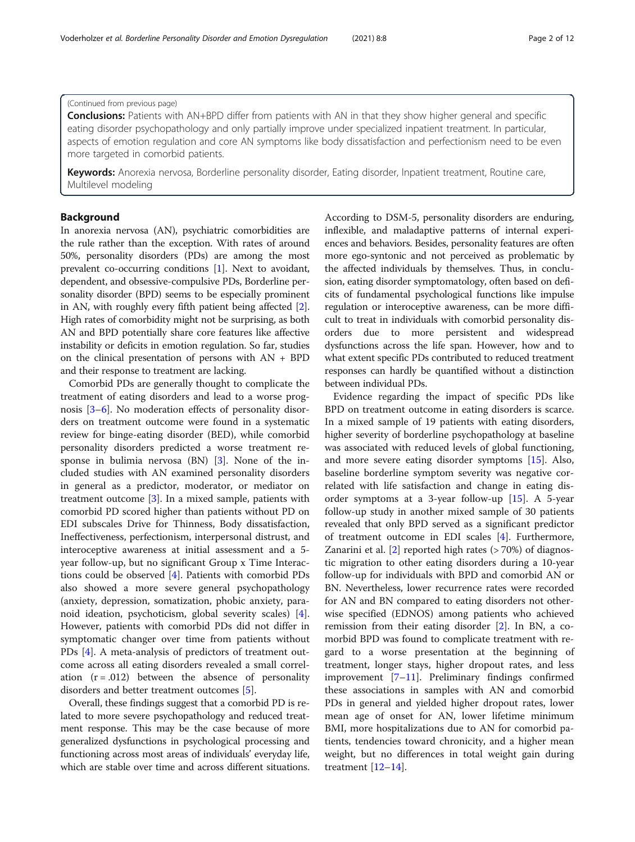## (Continued from previous page)

**Conclusions:** Patients with AN+BPD differ from patients with AN in that they show higher general and specific eating disorder psychopathology and only partially improve under specialized inpatient treatment. In particular, aspects of emotion regulation and core AN symptoms like body dissatisfaction and perfectionism need to be even more targeted in comorbid patients.

Keywords: Anorexia nervosa, Borderline personality disorder, Eating disorder, Inpatient treatment, Routine care, Multilevel modeling

## Background

In anorexia nervosa (AN), psychiatric comorbidities are the rule rather than the exception. With rates of around 50%, personality disorders (PDs) are among the most prevalent co-occurring conditions [\[1](#page-10-0)]. Next to avoidant, dependent, and obsessive-compulsive PDs, Borderline personality disorder (BPD) seems to be especially prominent in AN, with roughly every fifth patient being affected [[2](#page-10-0)]. High rates of comorbidity might not be surprising, as both AN and BPD potentially share core features like affective instability or deficits in emotion regulation. So far, studies on the clinical presentation of persons with  $AN + BPD$ and their response to treatment are lacking.

Comorbid PDs are generally thought to complicate the treatment of eating disorders and lead to a worse prognosis [\[3](#page-10-0)–[6](#page-10-0)]. No moderation effects of personality disorders on treatment outcome were found in a systematic review for binge-eating disorder (BED), while comorbid personality disorders predicted a worse treatment response in bulimia nervosa (BN) [\[3\]](#page-10-0). None of the included studies with AN examined personality disorders in general as a predictor, moderator, or mediator on treatment outcome [[3\]](#page-10-0). In a mixed sample, patients with comorbid PD scored higher than patients without PD on EDI subscales Drive for Thinness, Body dissatisfaction, Ineffectiveness, perfectionism, interpersonal distrust, and interoceptive awareness at initial assessment and a 5 year follow-up, but no significant Group x Time Interactions could be observed [\[4](#page-10-0)]. Patients with comorbid PDs also showed a more severe general psychopathology (anxiety, depression, somatization, phobic anxiety, paranoid ideation, psychoticism, global severity scales) [\[4](#page-10-0)]. However, patients with comorbid PDs did not differ in symptomatic changer over time from patients without PDs [[4\]](#page-10-0). A meta-analysis of predictors of treatment outcome across all eating disorders revealed a small correlation  $(r = .012)$  between the absence of personality disorders and better treatment outcomes [\[5](#page-10-0)].

Overall, these findings suggest that a comorbid PD is related to more severe psychopathology and reduced treatment response. This may be the case because of more generalized dysfunctions in psychological processing and functioning across most areas of individuals' everyday life, which are stable over time and across different situations.

According to DSM-5, personality disorders are enduring, inflexible, and maladaptive patterns of internal experiences and behaviors. Besides, personality features are often more ego-syntonic and not perceived as problematic by the affected individuals by themselves. Thus, in conclusion, eating disorder symptomatology, often based on deficits of fundamental psychological functions like impulse regulation or interoceptive awareness, can be more difficult to treat in individuals with comorbid personality disorders due to more persistent and widespread dysfunctions across the life span. However, how and to what extent specific PDs contributed to reduced treatment responses can hardly be quantified without a distinction between individual PDs.

Evidence regarding the impact of specific PDs like BPD on treatment outcome in eating disorders is scarce. In a mixed sample of 19 patients with eating disorders, higher severity of borderline psychopathology at baseline was associated with reduced levels of global functioning, and more severe eating disorder symptoms [\[15\]](#page-10-0). Also, baseline borderline symptom severity was negative correlated with life satisfaction and change in eating disorder symptoms at a 3-year follow-up [\[15](#page-10-0)]. A 5-year follow-up study in another mixed sample of 30 patients revealed that only BPD served as a significant predictor of treatment outcome in EDI scales [\[4](#page-10-0)]. Furthermore, Zanarini et al. [[2\]](#page-10-0) reported high rates (> 70%) of diagnostic migration to other eating disorders during a 10-year follow-up for individuals with BPD and comorbid AN or BN. Nevertheless, lower recurrence rates were recorded for AN and BN compared to eating disorders not otherwise specified (EDNOS) among patients who achieved remission from their eating disorder [[2\]](#page-10-0). In BN, a comorbid BPD was found to complicate treatment with regard to a worse presentation at the beginning of treatment, longer stays, higher dropout rates, and less improvement [[7](#page-10-0)–[11](#page-10-0)]. Preliminary findings confirmed these associations in samples with AN and comorbid PDs in general and yielded higher dropout rates, lower mean age of onset for AN, lower lifetime minimum BMI, more hospitalizations due to AN for comorbid patients, tendencies toward chronicity, and a higher mean weight, but no differences in total weight gain during treatment  $[12-14]$  $[12-14]$  $[12-14]$  $[12-14]$  $[12-14]$ .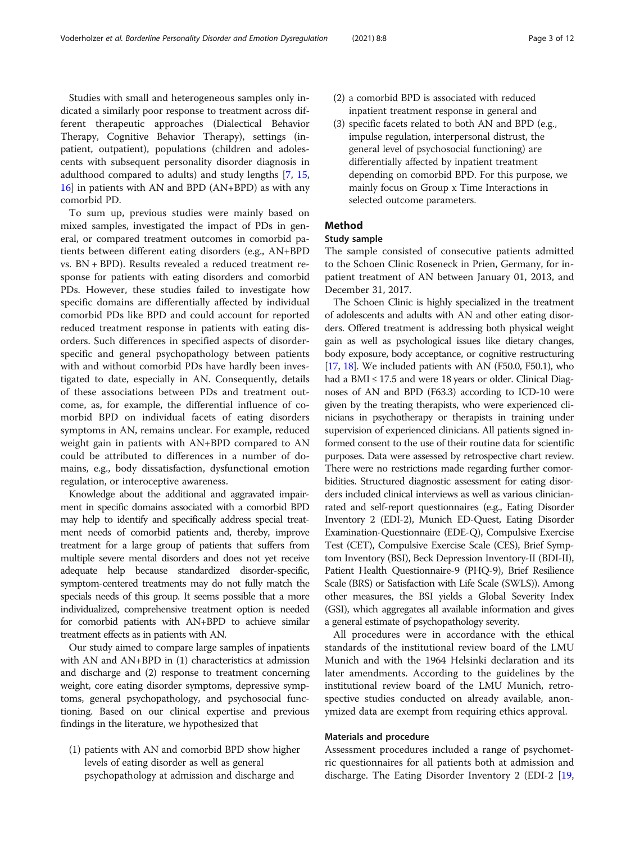Studies with small and heterogeneous samples only indicated a similarly poor response to treatment across different therapeutic approaches (Dialectical Behavior Therapy, Cognitive Behavior Therapy), settings (inpatient, outpatient), populations (children and adolescents with subsequent personality disorder diagnosis in adulthood compared to adults) and study lengths [\[7,](#page-10-0) [15](#page-10-0), [16\]](#page-10-0) in patients with AN and BPD (AN+BPD) as with any comorbid PD.

To sum up, previous studies were mainly based on mixed samples, investigated the impact of PDs in general, or compared treatment outcomes in comorbid patients between different eating disorders (e.g., AN+BPD vs. BN + BPD). Results revealed a reduced treatment response for patients with eating disorders and comorbid PDs. However, these studies failed to investigate how specific domains are differentially affected by individual comorbid PDs like BPD and could account for reported reduced treatment response in patients with eating disorders. Such differences in specified aspects of disorderspecific and general psychopathology between patients with and without comorbid PDs have hardly been investigated to date, especially in AN. Consequently, details of these associations between PDs and treatment outcome, as, for example, the differential influence of comorbid BPD on individual facets of eating disorders symptoms in AN, remains unclear. For example, reduced weight gain in patients with AN+BPD compared to AN could be attributed to differences in a number of domains, e.g., body dissatisfaction, dysfunctional emotion regulation, or interoceptive awareness.

Knowledge about the additional and aggravated impairment in specific domains associated with a comorbid BPD may help to identify and specifically address special treatment needs of comorbid patients and, thereby, improve treatment for a large group of patients that suffers from multiple severe mental disorders and does not yet receive adequate help because standardized disorder-specific, symptom-centered treatments may do not fully match the specials needs of this group. It seems possible that a more individualized, comprehensive treatment option is needed for comorbid patients with AN+BPD to achieve similar treatment effects as in patients with AN.

Our study aimed to compare large samples of inpatients with AN and AN+BPD in (1) characteristics at admission and discharge and (2) response to treatment concerning weight, core eating disorder symptoms, depressive symptoms, general psychopathology, and psychosocial functioning. Based on our clinical expertise and previous findings in the literature, we hypothesized that

(1) patients with AN and comorbid BPD show higher levels of eating disorder as well as general psychopathology at admission and discharge and

- (2) a comorbid BPD is associated with reduced inpatient treatment response in general and
- (3) specific facets related to both AN and BPD (e.g., impulse regulation, interpersonal distrust, the general level of psychosocial functioning) are differentially affected by inpatient treatment depending on comorbid BPD. For this purpose, we mainly focus on Group x Time Interactions in selected outcome parameters.

## Method

## Study sample

The sample consisted of consecutive patients admitted to the Schoen Clinic Roseneck in Prien, Germany, for inpatient treatment of AN between January 01, 2013, and December 31, 2017.

The Schoen Clinic is highly specialized in the treatment of adolescents and adults with AN and other eating disorders. Offered treatment is addressing both physical weight gain as well as psychological issues like dietary changes, body exposure, body acceptance, or cognitive restructuring [[17](#page-10-0), [18\]](#page-10-0). We included patients with AN (F50.0, F50.1), who had a BMI  $\leq$  17.5 and were 18 years or older. Clinical Diagnoses of AN and BPD (F63.3) according to ICD-10 were given by the treating therapists, who were experienced clinicians in psychotherapy or therapists in training under supervision of experienced clinicians. All patients signed informed consent to the use of their routine data for scientific purposes. Data were assessed by retrospective chart review. There were no restrictions made regarding further comorbidities. Structured diagnostic assessment for eating disorders included clinical interviews as well as various clinicianrated and self-report questionnaires (e.g., Eating Disorder Inventory 2 (EDI-2), Munich ED-Quest, Eating Disorder Examination-Questionnaire (EDE-Q), Compulsive Exercise Test (CET), Compulsive Exercise Scale (CES), Brief Symptom Inventory (BSI), Beck Depression Inventory-II (BDI-II), Patient Health Questionnaire-9 (PHQ-9), Brief Resilience Scale (BRS) or Satisfaction with Life Scale (SWLS)). Among other measures, the BSI yields a Global Severity Index (GSI), which aggregates all available information and gives a general estimate of psychopathology severity.

All procedures were in accordance with the ethical standards of the institutional review board of the LMU Munich and with the 1964 Helsinki declaration and its later amendments. According to the guidelines by the institutional review board of the LMU Munich, retrospective studies conducted on already available, anonymized data are exempt from requiring ethics approval.

## Materials and procedure

Assessment procedures included a range of psychometric questionnaires for all patients both at admission and discharge. The Eating Disorder Inventory 2 (EDI-2 [[19](#page-10-0),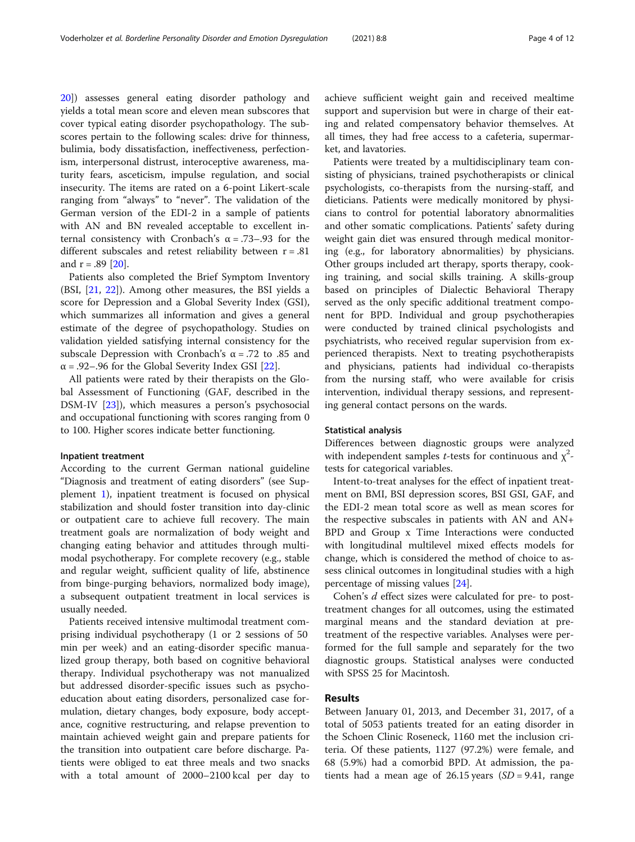bulimia, body dissatisfaction, ineffectiveness, perfectionism, interpersonal distrust, interoceptive awareness, maturity fears, asceticism, impulse regulation, and social insecurity. The items are rated on a 6-point Likert-scale ranging from "always" to "never". The validation of the German version of the EDI-2 in a sample of patients with AN and BN revealed acceptable to excellent internal consistency with Cronbach's  $\alpha$  = .73–.93 for the different subscales and retest reliability between  $r = .81$ and  $r = .89$  [[20\]](#page-10-0).

Patients also completed the Brief Symptom Inventory (BSI, [\[21,](#page-10-0) [22\]](#page-10-0)). Among other measures, the BSI yields a score for Depression and a Global Severity Index (GSI), which summarizes all information and gives a general estimate of the degree of psychopathology. Studies on validation yielded satisfying internal consistency for the subscale Depression with Cronbach's  $\alpha$  = .72 to .85 and  $\alpha$  = .92–.96 for the Global Severity Index GSI [[22](#page-10-0)].

All patients were rated by their therapists on the Global Assessment of Functioning (GAF, described in the DSM-IV [\[23\]](#page-10-0)), which measures a person's psychosocial and occupational functioning with scores ranging from 0 to 100. Higher scores indicate better functioning.

#### Inpatient treatment

According to the current German national guideline "Diagnosis and treatment of eating disorders" (see Supplement [1\)](#page-9-0), inpatient treatment is focused on physical stabilization and should foster transition into day-clinic or outpatient care to achieve full recovery. The main treatment goals are normalization of body weight and changing eating behavior and attitudes through multimodal psychotherapy. For complete recovery (e.g., stable and regular weight, sufficient quality of life, abstinence from binge-purging behaviors, normalized body image), a subsequent outpatient treatment in local services is usually needed.

Patients received intensive multimodal treatment comprising individual psychotherapy (1 or 2 sessions of 50 min per week) and an eating-disorder specific manualized group therapy, both based on cognitive behavioral therapy. Individual psychotherapy was not manualized but addressed disorder-specific issues such as psychoeducation about eating disorders, personalized case formulation, dietary changes, body exposure, body acceptance, cognitive restructuring, and relapse prevention to maintain achieved weight gain and prepare patients for the transition into outpatient care before discharge. Patients were obliged to eat three meals and two snacks with a total amount of 2000–2100 kcal per day to achieve sufficient weight gain and received mealtime support and supervision but were in charge of their eating and related compensatory behavior themselves. At all times, they had free access to a cafeteria, supermarket, and lavatories.

Patients were treated by a multidisciplinary team consisting of physicians, trained psychotherapists or clinical psychologists, co-therapists from the nursing-staff, and dieticians. Patients were medically monitored by physicians to control for potential laboratory abnormalities and other somatic complications. Patients' safety during weight gain diet was ensured through medical monitoring (e.g., for laboratory abnormalities) by physicians. Other groups included art therapy, sports therapy, cooking training, and social skills training. A skills-group based on principles of Dialectic Behavioral Therapy served as the only specific additional treatment component for BPD. Individual and group psychotherapies were conducted by trained clinical psychologists and psychiatrists, who received regular supervision from experienced therapists. Next to treating psychotherapists and physicians, patients had individual co-therapists from the nursing staff, who were available for crisis intervention, individual therapy sessions, and representing general contact persons on the wards.

## Statistical analysis

Differences between diagnostic groups were analyzed with independent samples *t*-tests for continuous and  $\chi^2$ tests for categorical variables.

Intent-to-treat analyses for the effect of inpatient treatment on BMI, BSI depression scores, BSI GSI, GAF, and the EDI-2 mean total score as well as mean scores for the respective subscales in patients with AN and AN+ BPD and Group x Time Interactions were conducted with longitudinal multilevel mixed effects models for change, which is considered the method of choice to assess clinical outcomes in longitudinal studies with a high percentage of missing values [[24\]](#page-10-0).

Cohen's d effect sizes were calculated for pre- to posttreatment changes for all outcomes, using the estimated marginal means and the standard deviation at pretreatment of the respective variables. Analyses were performed for the full sample and separately for the two diagnostic groups. Statistical analyses were conducted with SPSS 25 for Macintosh.

## Results

Between January 01, 2013, and December 31, 2017, of a total of 5053 patients treated for an eating disorder in the Schoen Clinic Roseneck, 1160 met the inclusion criteria. Of these patients, 1127 (97.2%) were female, and 68 (5.9%) had a comorbid BPD. At admission, the patients had a mean age of 26.15 years  $(SD = 9.41, \text{ range})$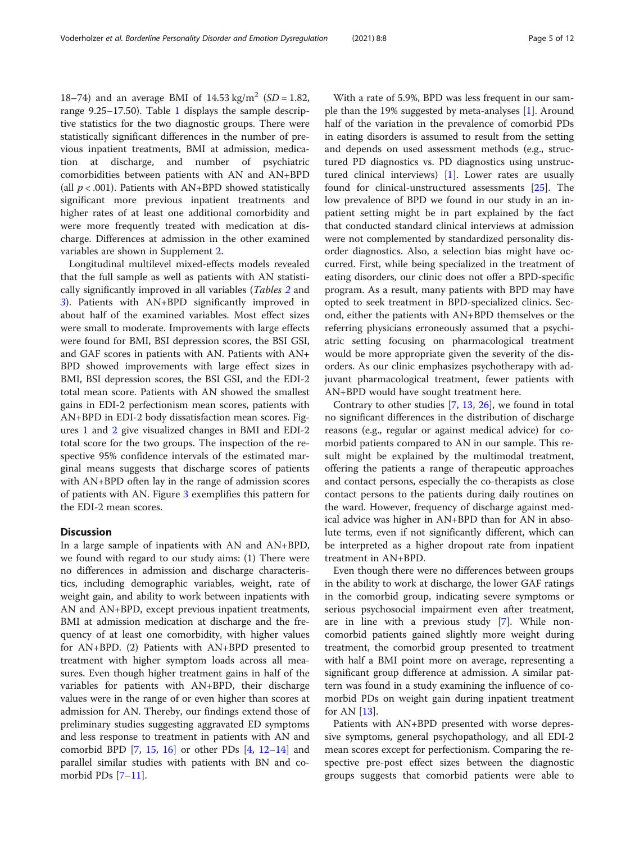18–74) and an average BMI of  $14.53 \text{ kg/m}^2$  (SD = 1.82, range 9.25–17.50). Table [1](#page-5-0) displays the sample descriptive statistics for the two diagnostic groups. There were statistically significant differences in the number of previous inpatient treatments, BMI at admission, medication at discharge, and number of psychiatric comorbidities between patients with AN and AN+BPD (all  $p < .001$ ). Patients with AN+BPD showed statistically significant more previous inpatient treatments and higher rates of at least one additional comorbidity and were more frequently treated with medication at discharge. Differences at admission in the other examined variables are shown in Supplement [2](#page-9-0).

Longitudinal multilevel mixed-effects models revealed that the full sample as well as patients with AN statistically significantly improved in all variables (Tables [2](#page-6-0) and [3](#page-7-0)). Patients with AN+BPD significantly improved in about half of the examined variables. Most effect sizes were small to moderate. Improvements with large effects were found for BMI, BSI depression scores, the BSI GSI, and GAF scores in patients with AN. Patients with AN+ BPD showed improvements with large effect sizes in BMI, BSI depression scores, the BSI GSI, and the EDI-2 total mean score. Patients with AN showed the smallest gains in EDI-2 perfectionism mean scores, patients with AN+BPD in EDI-2 body dissatisfaction mean scores. Figures [1](#page-8-0) and [2](#page-8-0) give visualized changes in BMI and EDI-2 total score for the two groups. The inspection of the respective 95% confidence intervals of the estimated marginal means suggests that discharge scores of patients with AN+BPD often lay in the range of admission scores of patients with AN. Figure [3](#page-9-0) exemplifies this pattern for the EDI-2 mean scores.

## **Discussion**

In a large sample of inpatients with AN and AN+BPD, we found with regard to our study aims: (1) There were no differences in admission and discharge characteristics, including demographic variables, weight, rate of weight gain, and ability to work between inpatients with AN and AN+BPD, except previous inpatient treatments, BMI at admission medication at discharge and the frequency of at least one comorbidity, with higher values for AN+BPD. (2) Patients with AN+BPD presented to treatment with higher symptom loads across all measures. Even though higher treatment gains in half of the variables for patients with AN+BPD, their discharge values were in the range of or even higher than scores at admission for AN. Thereby, our findings extend those of preliminary studies suggesting aggravated ED symptoms and less response to treatment in patients with AN and comorbid BPD  $[7, 15, 16]$  $[7, 15, 16]$  $[7, 15, 16]$  $[7, 15, 16]$  $[7, 15, 16]$  $[7, 15, 16]$  or other PDs  $[4, 12-14]$  $[4, 12-14]$  $[4, 12-14]$  $[4, 12-14]$  $[4, 12-14]$  $[4, 12-14]$  $[4, 12-14]$  and parallel similar studies with patients with BN and comorbid PDs  $[7-11]$  $[7-11]$  $[7-11]$ .

With a rate of 5.9%, BPD was less frequent in our sample than the 19% suggested by meta-analyses [[1\]](#page-10-0). Around half of the variation in the prevalence of comorbid PDs in eating disorders is assumed to result from the setting and depends on used assessment methods (e.g., structured PD diagnostics vs. PD diagnostics using unstructured clinical interviews) [[1\]](#page-10-0). Lower rates are usually found for clinical-unstructured assessments [\[25](#page-10-0)]. The low prevalence of BPD we found in our study in an inpatient setting might be in part explained by the fact that conducted standard clinical interviews at admission were not complemented by standardized personality disorder diagnostics. Also, a selection bias might have occurred. First, while being specialized in the treatment of eating disorders, our clinic does not offer a BPD-specific program. As a result, many patients with BPD may have opted to seek treatment in BPD-specialized clinics. Second, either the patients with AN+BPD themselves or the referring physicians erroneously assumed that a psychiatric setting focusing on pharmacological treatment would be more appropriate given the severity of the disorders. As our clinic emphasizes psychotherapy with adjuvant pharmacological treatment, fewer patients with AN+BPD would have sought treatment here.

Contrary to other studies [\[7](#page-10-0), [13,](#page-10-0) [26\]](#page-10-0), we found in total no significant differences in the distribution of discharge reasons (e.g., regular or against medical advice) for comorbid patients compared to AN in our sample. This result might be explained by the multimodal treatment, offering the patients a range of therapeutic approaches and contact persons, especially the co-therapists as close contact persons to the patients during daily routines on the ward. However, frequency of discharge against medical advice was higher in AN+BPD than for AN in absolute terms, even if not significantly different, which can be interpreted as a higher dropout rate from inpatient treatment in AN+BPD.

Even though there were no differences between groups in the ability to work at discharge, the lower GAF ratings in the comorbid group, indicating severe symptoms or serious psychosocial impairment even after treatment, are in line with a previous study [\[7](#page-10-0)]. While noncomorbid patients gained slightly more weight during treatment, the comorbid group presented to treatment with half a BMI point more on average, representing a significant group difference at admission. A similar pattern was found in a study examining the influence of comorbid PDs on weight gain during inpatient treatment for AN  $[13]$  $[13]$ .

Patients with AN+BPD presented with worse depressive symptoms, general psychopathology, and all EDI-2 mean scores except for perfectionism. Comparing the respective pre-post effect sizes between the diagnostic groups suggests that comorbid patients were able to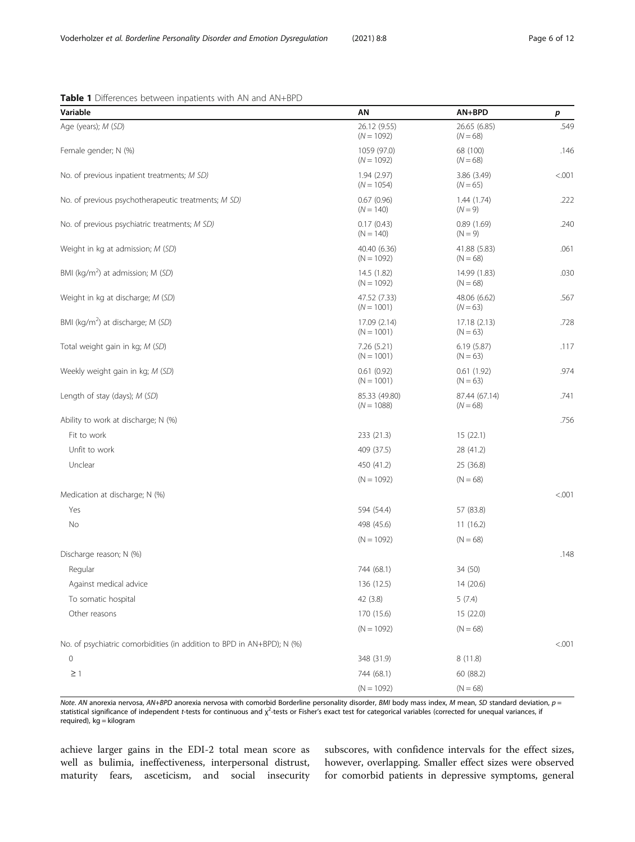#### <span id="page-5-0"></span>Table 1 Differences between inpatients with AN and AN+BPD

| Variable                                                               | ΑN                            | AN+BPD                      | p       |
|------------------------------------------------------------------------|-------------------------------|-----------------------------|---------|
| Age (years); M (SD)                                                    | 26.12 (9.55)<br>$(N = 1092)$  | 26.65 (6.85)<br>$(N = 68)$  | .549    |
| Female gender; N (%)                                                   | 1059 (97.0)<br>$(N = 1092)$   | 68 (100)<br>$(N = 68)$      | .146    |
| No. of previous inpatient treatments; M SD)                            | 1.94(2.97)<br>$(N = 1054)$    | 3.86 (3.49)<br>$(N = 65)$   | < .001  |
| No. of previous psychotherapeutic treatments; M SD)                    | 0.67(0.96)<br>$(N = 140)$     | 1.44(1.74)<br>$(N = 9)$     | .222    |
| No. of previous psychiatric treatments; M SD)                          | 0.17(0.43)<br>$(N = 140)$     | 0.89(1.69)<br>$(N = 9)$     | .240    |
| Weight in kg at admission; M (SD)                                      | 40.40 (6.36)<br>$(N = 1092)$  | 41.88 (5.83)<br>$(N = 68)$  | .061    |
| BMI (kg/m <sup>2</sup> ) at admission; M (SD)                          | 14.5 (1.82)<br>$(N = 1092)$   | 14.99 (1.83)<br>$(N = 68)$  | .030    |
| Weight in kg at discharge; M (SD)                                      | 47.52 (7.33)<br>$(N = 1001)$  | 48.06 (6.62)<br>$(N = 63)$  | .567    |
| BMI (kg/m <sup>2</sup> ) at discharge; M (SD)                          | 17.09 (2.14)<br>$(N = 1001)$  | 17.18(2.13)<br>$(N = 63)$   | .728    |
| Total weight gain in kg; M (SD)                                        | 7.26 (5.21)<br>$(N = 1001)$   | 6.19(5.87)<br>$(N = 63)$    | .117    |
| Weekly weight gain in kg; M (SD)                                       | 0.61(0.92)<br>$(N = 1001)$    | 0.61(1.92)<br>$(N = 63)$    | .974    |
| Length of stay (days); M (SD)                                          | 85.33 (49.80)<br>$(N = 1088)$ | 87.44 (67.14)<br>$(N = 68)$ | .741    |
| Ability to work at discharge; N (%)                                    |                               |                             | .756    |
| Fit to work                                                            | 233 (21.3)                    | 15(22.1)                    |         |
| Unfit to work                                                          | 409 (37.5)                    | 28 (41.2)                   |         |
| Unclear                                                                | 450 (41.2)                    | 25 (36.8)                   |         |
|                                                                        | $(N = 1092)$                  | $(N = 68)$                  |         |
| Medication at discharge; N (%)                                         |                               |                             | < 0.001 |
| Yes                                                                    | 594 (54.4)                    | 57 (83.8)                   |         |
| No                                                                     | 498 (45.6)                    | 11(16.2)                    |         |
|                                                                        | $(N = 1092)$                  | $(N = 68)$                  |         |
| Discharge reason; N (%)                                                |                               |                             | .148    |
| Regular                                                                | 744 (68.1)                    | 34 (50)                     |         |
| Against medical advice                                                 | 136 (12.5)                    | 14 (20.6)                   |         |
| To somatic hospital                                                    | 42 (3.8)                      | 5(7.4)                      |         |
| Other reasons                                                          | 170 (15.6)                    | 15 (22.0)                   |         |
|                                                                        | $(N = 1092)$                  | $(N = 68)$                  |         |
| No. of psychiatric comorbidities (in addition to BPD in AN+BPD); N (%) |                               |                             | < .001  |
| $\mathsf{O}\xspace$                                                    | 348 (31.9)                    | 8(11.8)                     |         |
| $\geq$ 1                                                               | 744 (68.1)                    | 60 (88.2)                   |         |
|                                                                        | $(N = 1092)$                  | $(N = 68)$                  |         |

Note. AN anorexia nervosa, AN+BPD anorexia nervosa with comorbid Borderline personality disorder, BMI body mass index, M mean, SD standard deviation,  $p =$ statistical significance of independent *t*-tests for continuous and x<sup>2</sup>-tests or Fisher's exact test for categorical variables (corrected for unequal variances, if required), kg = kilogram

achieve larger gains in the EDI-2 total mean score as well as bulimia, ineffectiveness, interpersonal distrust, maturity fears, asceticism, and social insecurity subscores, with confidence intervals for the effect sizes, however, overlapping. Smaller effect sizes were observed for comorbid patients in depressive symptoms, general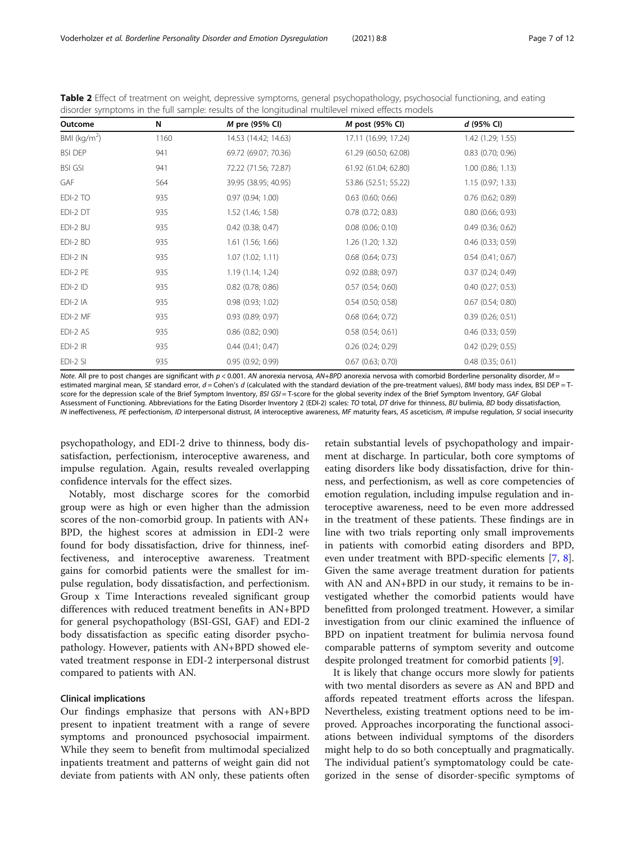|                 | aboracı byrılptonib in tirc ralı banıpler rebalts or tirc rongitaalinal maltileren militea enects moaclis |                       |                        |                       |  |  |  |  |  |
|-----------------|-----------------------------------------------------------------------------------------------------------|-----------------------|------------------------|-----------------------|--|--|--|--|--|
| Outcome         | N                                                                                                         | <i>M</i> pre (95% CI) | <i>M</i> post (95% CI) | $d$ (95% CI)          |  |  |  |  |  |
| BMI ( $kg/m2$ ) | 1160                                                                                                      | 14.53 (14.42; 14.63)  | 17.11 (16.99; 17.24)   | 1.42(1.29; 1.55)      |  |  |  |  |  |
| <b>BSI DEP</b>  | 941                                                                                                       | 69.72 (69.07; 70.36)  | 61.29 (60.50; 62.08)   | $0.83$ (0.70; 0.96)   |  |  |  |  |  |
| <b>BSI GSI</b>  | 941                                                                                                       | 72.22 (71.56; 72.87)  | 61.92 (61.04; 62.80)   | $1.00$ (0.86; 1.13)   |  |  |  |  |  |
| GAF             | 564                                                                                                       | 39.95 (38.95; 40.95)  | 53.86 (52.51; 55.22)   | 1.15(0.97; 1.33)      |  |  |  |  |  |
| EDI-2 TO        | 935                                                                                                       | 0.97(0.94; 1.00)      | $0.63$ $(0.60; 0.66)$  | $0.76$ (0.62; 0.89)   |  |  |  |  |  |
| EDI-2 DT        | 935                                                                                                       | 1.52 (1.46; 1.58)     | $0.78$ $(0.72; 0.83)$  | 0.80(0.66; 0.93)      |  |  |  |  |  |
| EDI-2 BU        | 935                                                                                                       | $0.42$ (0.38; 0.47)   | $0.08$ $(0.06; 0.10)$  | 0.49(0.36; 0.62)      |  |  |  |  |  |
| EDI-2 BD        | 935                                                                                                       | $1.61$ (1.56; 1.66)   | $1.26$ (1.20; 1.32)    | $0.46$ $(0.33; 0.59)$ |  |  |  |  |  |
| EDI-2 IN        | 935                                                                                                       | 1.07(1.02; 1.11)      | $0.68$ $(0.64; 0.73)$  | 0.54(0.41; 0.67)      |  |  |  |  |  |
| EDI-2 PE        | 935                                                                                                       | 1.19(1.14; 1.24)      | $0.92$ $(0.88; 0.97)$  | 0.37(0.24; 0.49)      |  |  |  |  |  |
| EDI-2 ID        | 935                                                                                                       | $0.82$ (0.78; 0.86)   | $0.57$ $(0.54; 0.60)$  | 0.40(0.27; 0.53)      |  |  |  |  |  |
| EDI-2 IA        | 935                                                                                                       | $0.98$ $(0.93; 1.02)$ | $0.54$ (0.50; 0.58)    | $0.67$ $(0.54; 0.80)$ |  |  |  |  |  |
| EDI-2 MF        | 935                                                                                                       | $0.93$ $(0.89; 0.97)$ | $0.68$ $(0.64; 0.72)$  | 0.39(0.26; 0.51)      |  |  |  |  |  |
| EDI-2 AS        | 935                                                                                                       | $0.86$ $(0.82; 0.90)$ | $0.58$ $(0.54; 0.61)$  | $0.46$ $(0.33; 0.59)$ |  |  |  |  |  |
| EDI-2 IR        | 935                                                                                                       | $0.44$ $(0.41; 0.47)$ | $0.26$ $(0.24; 0.29)$  | $0.42$ (0.29; 0.55)   |  |  |  |  |  |
| EDI-2 SI        | 935                                                                                                       | 0.95(0.92; 0.99)      | $0.67$ $(0.63; 0.70)$  | $0.48$ $(0.35; 0.61)$ |  |  |  |  |  |

<span id="page-6-0"></span>Table 2 Effect of treatment on weight, depressive symptoms, general psychopathology, psychosocial functioning, and eating disorder symptoms in the full sample: results of the longitudinal multilevel mixed effects models

Note. All pre to post changes are significant with  $p < 0.001$ . AN anorexia nervosa, AN+BPD anorexia nervosa with comorbid Borderline personality disorder, M = estimated marginal mean, SE standard error,  $d =$  Cohen's d (calculated with the standard deviation of the pre-treatment values), BMI body mass index, BSI DEP = Tscore for the depression scale of the Brief Symptom Inventory, BSI GSI = T-score for the global severity index of the Brief Symptom Inventory, GAF Global Assessment of Functioning. Abbreviations for the Eating Disorder Inventory 2 (EDI-2) scales: TO total, DT drive for thinness, BU bulimia, BD body dissatisfaction, IN ineffectiveness, PE perfectionism, ID interpersonal distrust, IA interoceptive awareness, MF maturity fears, AS asceticism, IR impulse regulation, SI social insecurity

psychopathology, and EDI-2 drive to thinness, body dissatisfaction, perfectionism, interoceptive awareness, and impulse regulation. Again, results revealed overlapping confidence intervals for the effect sizes.

Notably, most discharge scores for the comorbid group were as high or even higher than the admission scores of the non-comorbid group. In patients with AN+ BPD, the highest scores at admission in EDI-2 were found for body dissatisfaction, drive for thinness, ineffectiveness, and interoceptive awareness. Treatment gains for comorbid patients were the smallest for impulse regulation, body dissatisfaction, and perfectionism. Group x Time Interactions revealed significant group differences with reduced treatment benefits in AN+BPD for general psychopathology (BSI-GSI, GAF) and EDI-2 body dissatisfaction as specific eating disorder psychopathology. However, patients with AN+BPD showed elevated treatment response in EDI-2 interpersonal distrust compared to patients with AN.

## Clinical implications

Our findings emphasize that persons with AN+BPD present to inpatient treatment with a range of severe symptoms and pronounced psychosocial impairment. While they seem to benefit from multimodal specialized inpatients treatment and patterns of weight gain did not deviate from patients with AN only, these patients often retain substantial levels of psychopathology and impairment at discharge. In particular, both core symptoms of eating disorders like body dissatisfaction, drive for thinness, and perfectionism, as well as core competencies of emotion regulation, including impulse regulation and interoceptive awareness, need to be even more addressed in the treatment of these patients. These findings are in line with two trials reporting only small improvements in patients with comorbid eating disorders and BPD, even under treatment with BPD-specific elements [[7,](#page-10-0) [8](#page-10-0)]. Given the same average treatment duration for patients with AN and AN+BPD in our study, it remains to be investigated whether the comorbid patients would have benefitted from prolonged treatment. However, a similar investigation from our clinic examined the influence of BPD on inpatient treatment for bulimia nervosa found comparable patterns of symptom severity and outcome despite prolonged treatment for comorbid patients [[9\]](#page-10-0).

It is likely that change occurs more slowly for patients with two mental disorders as severe as AN and BPD and affords repeated treatment efforts across the lifespan. Nevertheless, existing treatment options need to be improved. Approaches incorporating the functional associations between individual symptoms of the disorders might help to do so both conceptually and pragmatically. The individual patient's symptomatology could be categorized in the sense of disorder-specific symptoms of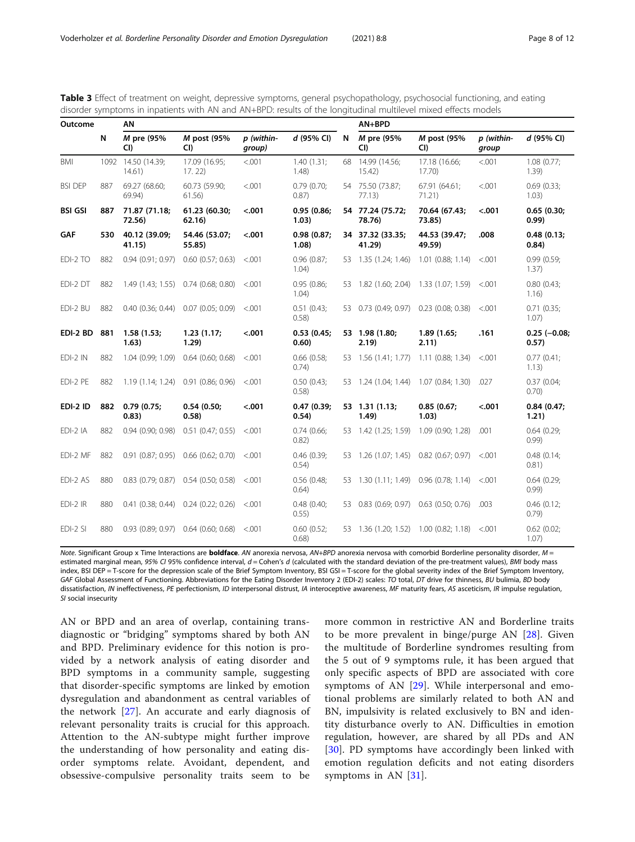| Outcome        |              | ΑN                           |                                             |                      |                          |    | $AN+BPD$                               |                                              |                     |                         |
|----------------|--------------|------------------------------|---------------------------------------------|----------------------|--------------------------|----|----------------------------------------|----------------------------------------------|---------------------|-------------------------|
|                | $\mathsf{N}$ | M pre (95%<br>CI             | M post (95%<br>CI)                          | p (within-<br>qroup) | d (95% CI)               | N  | M pre (95%<br>CI                       | M post (95%<br>$Cl$                          | p (within-<br>group | d (95% CI)              |
| BMI            |              | 1092 14.50 (14.39;<br>14.61) | 17.09 (16.95;<br>17.22                      | < .001               | 1.40(1.31)<br>1.48)      |    | 68 14.99 (14.56;<br>15.42)             | 17.18 (16.66;<br>17.70                       | < .001              | 1.08(0.77)<br>1.39)     |
| <b>BSI DEP</b> | 887          | 69.27 (68.60;<br>69.94       | 60.73 (59.90;<br>61.56                      | < .001               | 0.79(0.70)<br>0.87)      |    | 54 75.50 (73.87;<br>77.13)             | 67.91 (64.61;<br>71.21)                      | < .001              | 0.69(0.33)<br>1.03)     |
| <b>BSI GSI</b> | 887          | 71.87 (71.18;<br>72.56)      | 61.23 (60.30;<br>62.16)                     | < .001               | 0.95(0.86;<br>1.03)      |    | 54 77.24 (75.72;<br>78.76)             | 70.64 (67.43;<br>73.85)                      | < .001              | 0.65(0.30;<br>0.99)     |
| <b>GAF</b>     | 530          | 40.12 (39.09;<br>41.15)      | 54.46 (53.07;<br>55.85                      | < .001               | 0.98(0.87)<br>1.08)      |    | 34 37.32 (33.35;<br>41.29)             | 44.53 (39.47;<br>49.59)                      | .008                | 0.48(0.13;<br>0.84)     |
| EDI-2 TO       | 882          | 0.94(0.91; 0.97)             | $0.60$ $(0.57; 0.63)$                       | < 0.001              | 0.96(0.87)<br>1.04)      |    | 53 1.35 (1.24; 1.46)                   | 1.01 (0.88; 1.14)                            | < 0.001             | 0.99(0.59;<br>1.37)     |
| EDI-2 DT       | 882          |                              | 1.49 (1.43; 1.55) 0.74 (0.68; 0.80)         | < 0.001              | 0.95(0.86)<br>1.04)      |    |                                        | 53 1.82 (1.60; 2.04) 1.33 (1.07; 1.59) <.001 |                     | 0.80(0.43;<br>1.16)     |
| EDI-2 BU       | 882          | $0.40$ $(0.36; 0.44)$        | 0.07(0.05; 0.09)                            | < 0.001              | 0.51(0.43;<br>0.58)      | 53 |                                        | $0.73$ $(0.49; 0.97)$ $0.23$ $(0.08; 0.38)$  | < 0.001             | 0.71(0.35)<br>1.07)     |
| EDI-2 BD 881   |              | 1.58(1.53;<br>1.63)          | 1.23(1.17)<br>1.29)                         | < .001               | 0.53(0.45;<br>0.60)      |    | 53 1.98 (1.80;<br>2.19)                | 1.89(1.65;<br>2.11)                          | .161                | $0.25 (-0.08)$<br>0.57) |
| EDI-2 IN       | 882          | 1.04 (0.99; 1.09)            | $0.64$ $(0.60; 0.68)$                       | < 0.001              | $0.66$ $(0.58;$<br>0.74) |    | 53 1.56 (1.41; 1.77)                   | 1.11(0.88; 1.34)                             | < 0.001             | 0.77(0.41)<br>1.13)     |
| EDI-2 PE       | 882          | 1.19(1.14; 1.24)             | 0.91(0.86; 0.96)                            | < 0.001              | 0.50(0.43)<br>0.58)      |    | 53 1.24 (1.04; 1.44) 1.07 (0.84; 1.30) |                                              | .027                | 0.37(0.04)<br>0.70)     |
| EDI-2 ID       | 882          | 0.79(0.75)<br>(0.83)         | 0.54(0.50;<br>0.58)                         | < .001               | 0.47(0.39;<br>0.54)      |    | 53 1.31 (1.13;<br>1.49)                | 0.85(0.67)<br>1.03)                          | < .001              | 0.84(0.47;<br>1.21)     |
| EDI-2 IA       | 882          | $0.94$ $(0.90; 0.98)$        | 0.51(0.47; 0.55)                            | < 0.001              | 0.74(0.66;<br>0.82)      |    | 53 1.42 (1.25; 1.59)                   | 1.09 (0.90; 1.28)                            | .001                | 0.64(0.29)<br>0.99      |
| EDI-2 MF       | 882          |                              | $0.91$ $(0.87; 0.95)$ $0.66$ $(0.62; 0.70)$ | < 0.001              | 0.46(0.39;<br>0.54)      |    |                                        | 53 1.26 (1.07; 1.45) 0.82 (0.67; 0.97) <.001 |                     | 0.48(0.14;<br>0.81)     |
| EDI-2 AS       | 880          |                              | $0.83$ (0.79; 0.87) $0.54$ (0.50; 0.58)     | < 0.001              | $0.56$ (0.48;<br>0.64)   | 53 |                                        | $1.30(1.11; 1.49)$ 0.96 (0.78; 1.14) <.001   |                     | 0.64(0.29)<br>0.99      |
| EDI-2 IR       | 880          |                              | $0.41$ $(0.38; 0.44)$ $0.24$ $(0.22; 0.26)$ | < 0.01               | 0.48(0.40;<br>0.55)      | 53 |                                        | 0.83 (0.69; 0.97) 0.63 (0.50; 0.76)          | .003                | 0.46(0.12)<br>0.79      |
| EDI-2 SI       | 880          |                              | $0.93$ $(0.89; 0.97)$ $0.64$ $(0.60; 0.68)$ | < 0.001              | 0.60(0.52)<br>0.68)      |    |                                        | 53 1.36 (1.20; 1.52) 1.00 (0.82; 1.18) <.001 |                     | 0.62(0.02)<br>1.07)     |

<span id="page-7-0"></span>Table 3 Effect of treatment on weight, depressive symptoms, general psychopathology, psychosocial functioning, and eating disorder symptoms in inpatients with AN and AN+BPD: results of the longitudinal multilevel mixed effects models

Note. Significant Group x Time Interactions are **boldface**. AN anorexia nervosa, AN+BPD anorexia nervosa with comorbid Borderline personality disorder, M = estimated marginal mean, 95% CI 95% confidence interval,  $d =$  Cohen's d (calculated with the standard deviation of the pre-treatment values), BMI body mass index, BSI DEP = T-score for the depression scale of the Brief Symptom Inventory, BSI GSI = T-score for the global severity index of the Brief Symptom Inventory, GAF Global Assessment of Functioning. Abbreviations for the Eating Disorder Inventory 2 (EDI-2) scales: TO total, DT drive for thinness, BU bulimia, BD body dissatisfaction, IN ineffectiveness, PE perfectionism, ID interpersonal distrust, IA interoceptive awareness, MF maturity fears, AS asceticism, IR impulse regulation, SI social insecurity

AN or BPD and an area of overlap, containing transdiagnostic or "bridging" symptoms shared by both AN and BPD. Preliminary evidence for this notion is provided by a network analysis of eating disorder and BPD symptoms in a community sample, suggesting that disorder-specific symptoms are linked by emotion dysregulation and abandonment as central variables of the network [[27\]](#page-10-0). An accurate and early diagnosis of relevant personality traits is crucial for this approach. Attention to the AN-subtype might further improve the understanding of how personality and eating disorder symptoms relate. Avoidant, dependent, and obsessive-compulsive personality traits seem to be

more common in restrictive AN and Borderline traits to be more prevalent in binge/purge AN [[28\]](#page-10-0). Given the multitude of Borderline syndromes resulting from the 5 out of 9 symptoms rule, it has been argued that only specific aspects of BPD are associated with core symptoms of AN [\[29](#page-10-0)]. While interpersonal and emotional problems are similarly related to both AN and BN, impulsivity is related exclusively to BN and identity disturbance overly to AN. Difficulties in emotion regulation, however, are shared by all PDs and AN [[30\]](#page-11-0). PD symptoms have accordingly been linked with emotion regulation deficits and not eating disorders symptoms in AN [[31](#page-11-0)].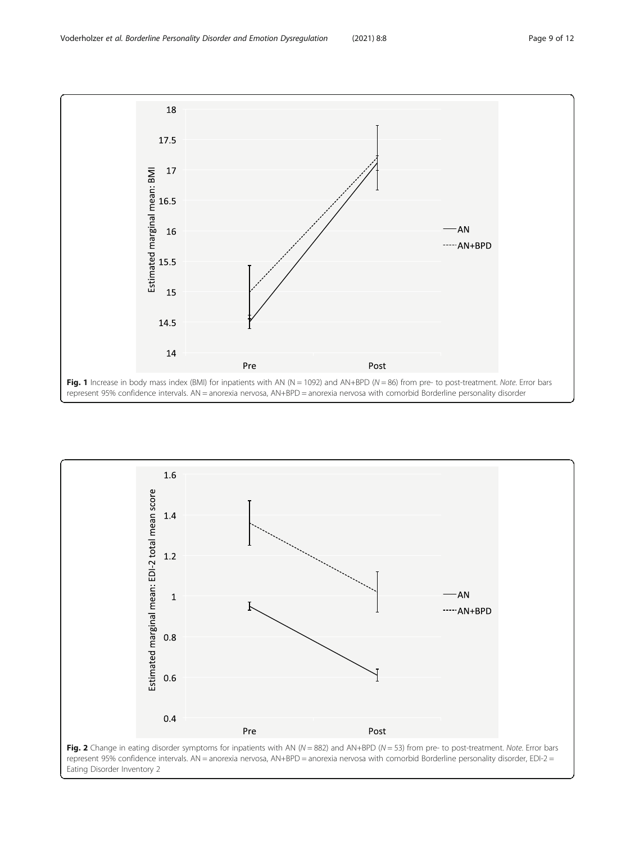<span id="page-8-0"></span>

Fig. 1 Increase in body mass index (BMI) for inpatients with AN (N = 1092) and AN+BPD (N = 86) from pre- to post-treatment. Note. Error bars represent 95% confidence intervals. AN = anorexia nervosa, AN+BPD = anorexia nervosa with comorbid Borderline personality disorder

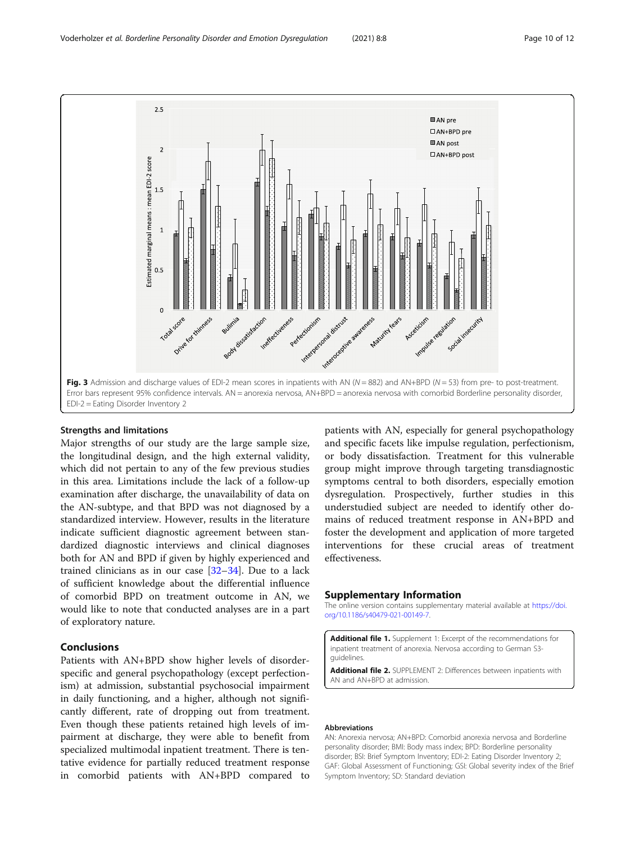<span id="page-9-0"></span>

### Strengths and limitations

Major strengths of our study are the large sample size, the longitudinal design, and the high external validity, which did not pertain to any of the few previous studies in this area. Limitations include the lack of a follow-up examination after discharge, the unavailability of data on the AN-subtype, and that BPD was not diagnosed by a standardized interview. However, results in the literature indicate sufficient diagnostic agreement between standardized diagnostic interviews and clinical diagnoses both for AN and BPD if given by highly experienced and trained clinicians as in our case [[32](#page-11-0)–[34](#page-11-0)]. Due to a lack of sufficient knowledge about the differential influence of comorbid BPD on treatment outcome in AN, we would like to note that conducted analyses are in a part of exploratory nature.

## Conclusions

Patients with AN+BPD show higher levels of disorderspecific and general psychopathology (except perfectionism) at admission, substantial psychosocial impairment in daily functioning, and a higher, although not significantly different, rate of dropping out from treatment. Even though these patients retained high levels of impairment at discharge, they were able to benefit from specialized multimodal inpatient treatment. There is tentative evidence for partially reduced treatment response in comorbid patients with AN+BPD compared to

patients with AN, especially for general psychopathology and specific facets like impulse regulation, perfectionism, or body dissatisfaction. Treatment for this vulnerable group might improve through targeting transdiagnostic symptoms central to both disorders, especially emotion dysregulation. Prospectively, further studies in this understudied subject are needed to identify other domains of reduced treatment response in AN+BPD and foster the development and application of more targeted interventions for these crucial areas of treatment effectiveness.

#### Supplementary Information

The online version contains supplementary material available at [https://doi.](https://doi.org/10.1186/s40479-021-00149-7) [org/10.1186/s40479-021-00149-7.](https://doi.org/10.1186/s40479-021-00149-7)

Additional file 1. Supplement 1: Excerpt of the recommendations for inpatient treatment of anorexia. Nervosa according to German S3 guidelines.

Additional file 2. SUPPLEMENT 2: Differences between inpatients with AN and AN+BPD at admission.

#### Abbreviations

AN: Anorexia nervosa; AN+BPD: Comorbid anorexia nervosa and Borderline personality disorder; BMI: Body mass index; BPD: Borderline personality disorder; BSI: Brief Symptom Inventory; EDI-2: Eating Disorder Inventory 2; GAF: Global Assessment of Functioning; GSI: Global severity index of the Brief Symptom Inventory; SD: Standard deviation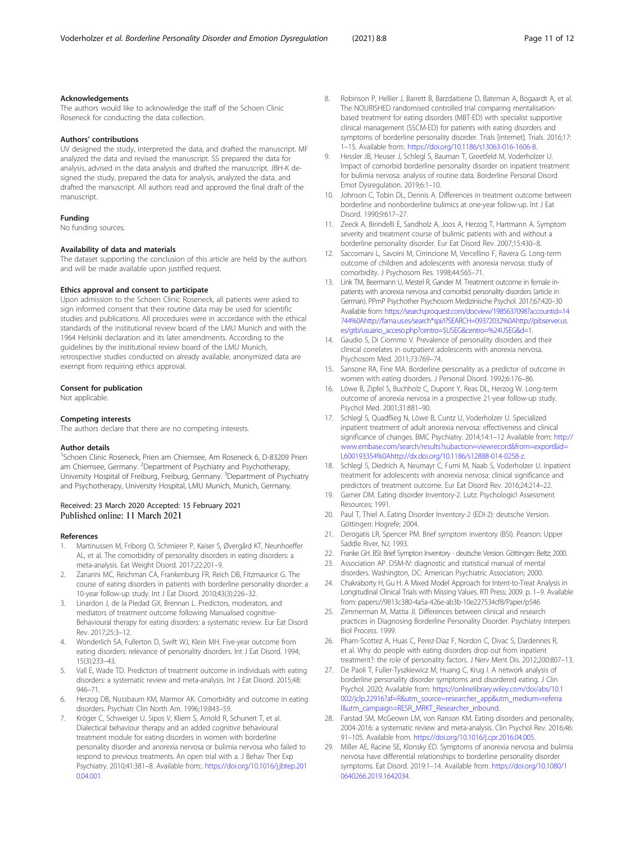## <span id="page-10-0"></span>Acknowledgements

The authors would like to acknowledge the staff of the Schoen Clinic Roseneck for conducting the data collection.

#### Authors' contributions

UV designed the study, interpreted the data, and drafted the manuscript. MF analyzed the data and revised the manuscript. SS prepared the data for analysis, advised in the data analysis and drafted the manuscript. JBH-K designed the study, prepared the data for analysis, analyzed the data, and drafted the manuscript. All authors read and approved the final draft of the manuscript.

#### Funding

No funding sources.

## Availability of data and materials

The dataset supporting the conclusion of this article are held by the authors and will be made available upon justified request.

#### Ethics approval and consent to participate

Upon admission to the Schoen Clinic Roseneck, all patients were asked to sign informed consent that their routine data may be used for scientific studies and publications. All procedures were in accordance with the ethical standards of the institutional review board of the LMU Munich and with the 1964 Helsinki declaration and its later amendments. According to the guidelines by the institutional review board of the LMU Munich, retrospective studies conducted on already available, anonymized data are exempt from requiring ethics approval.

#### Consent for publication

Not applicable.

#### Competing interests

The authors declare that there are no competing interests.

#### Author details

<sup>1</sup>Schoen Clinic Roseneck, Prien am Chiemsee, Am Roseneck 6, D-83209 Prien am Chiemsee, Germany. <sup>2</sup>Department of Psychiatry and Psychotherapy, University Hospital of Freiburg, Freiburg, Germany. <sup>3</sup>Department of Psychiatry and Psychotherapy, University Hospital, LMU Munich, Munich, Germany.

## Received: 23 March 2020 Accepted: 15 February 2021 Published online: 11 March 2021

#### References

- 1. Martinussen M, Friborg O, Schmierer P, Kaiser S, Øvergård KT, Neunhoeffer AL, et al. The comorbidity of personality disorders in eating disorders: a meta-analysis. Eat Weight Disord. 2017;22:201–9.
- 2. Zanarini MC, Reichman CA, Frankenburg FR, Reich DB, Fitzmaurice G. The course of eating disorders in patients with borderline personality disorder: a 10-year follow-up study. Int J Eat Disord. 2010;43(3):226–32.
- Linardon J, de la Piedad GX, Brennan L. Predictors, moderators, and mediators of treatment outcome following Manualised cognitive-Behavioural therapy for eating disorders: a systematic review. Eur Eat Disord Rev. 2017;25:3–12.
- 4. Wonderlich SA, Fullerton D, Swift WJ, Klein MH. Five-year outcome from eating disorders: relevance of personality disorders. Int J Eat Disord. 1994; 15(3):233–43.
- Vall E, Wade TD. Predictors of treatment outcome in individuals with eating disorders: a systematic review and meta-analysis. Int J Eat Disord. 2015;48: 946–71.
- 6. Herzog DB, Nussbaum KM, Marmor AK. Comorbidity and outcome in eating disorders. Psychiatr Clin North Am. 1996;19:843–59.
- 7. Kröger C, Schweiger U, Sipos V, Kliem S, Arnold R, Schunert T, et al. Dialectical behaviour therapy and an added cognitive behavioural treatment module for eating disorders in women with borderline personality disorder and anorexia nervosa or bulimia nervosa who failed to respond to previous treatments. An open trial with a. J Behav Ther Exp Psychiatry. 2010;41:381–8. Available from:. [https://doi.org/10.1016/j.jbtep.201](https://doi.org/10.1016/j.jbtep.2010.04.001) [0.04.001.](https://doi.org/10.1016/j.jbtep.2010.04.001)
- 8. Robinson P, Hellier J, Barrett B, Barzdaitiene D, Bateman A, Bogaardt A, et al. The NOURISHED randomised controlled trial comparing mentalisationbased treatment for eating disorders (MBT-ED) with specialist supportive clinical management (SSCM-ED) for patients with eating disorders and symptoms of borderline personality disorder. Trials [internet]. Trials. 2016;17: 1–15. Available from:. [https://doi.org/10.1186/s13063-016-1606-8.](https://doi.org/10.1186/s13063-016-1606-8)
- 9. Hessler JB, Heuser J, Schlegl S, Bauman T, Greetfeld M, Voderholzer U. Impact of comorbid borderline personality disorder on inpatient treatment for bulimia nervosa: analysis of routine data. Borderline Personal Disord Emot Dysregulation. 2019;6:1–10.
- 10. Johnson C, Tobin DL, Dennis A. Differences in treatment outcome between borderline and nonborderline bulimics at one-year follow-up. Int J Eat Disord. 1990;9:617–27.
- 11. Zeeck A, Birindelli E, Sandholz A, Joos A, Herzog T, Hartmann A. Symptom severity and treatment course of bulimic patients with and without a borderline personality disorder. Eur Eat Disord Rev. 2007;15:430–8.
- 12. Saccomani L, Savoini M, Cirrincione M, Vercellino F, Ravera G. Long-term outcome of children and adolescents with anorexia nervosa: study of comorbidity. J Psychosom Res. 1998;44:565–71.
- 13. Link TM, Beermann U, Mestel R, Gander M. Treatment outcome in female inpatients with anorexia nervosa and comorbid personality disorders (article in German). PPmP Psychother Psychosom Medizinische Psychol. 2017;67:420–30 Available from: https://search.proquest.com/docview/1985637098?accountid=14 744%0Ahttp://fama.us.es/search\*spi/i?SEARCH=09372032%0Ahttp://pibserver.us. es/gtb/usuario\_acceso.php?centro=\$USEG&centro=%24USEG&d=1.
- 14. Gaudio S, Di Ciommo V. Prevalence of personality disorders and their clinical correlates in outpatient adolescents with anorexia nervosa. Psychosom Med. 2011;73:769–74.
- 15. Sansone RA, Fine MA. Borderline personality as a predictor of outcome in women with eating disorders. J Personal Disord. 1992;6:176–86.
- 16. Löwe B, Zipfel S, Buchholz C, Dupont Y, Reas DL, Herzog W. Long-term outcome of anorexia nervosa in a prospective 21-year follow-up study. Psychol Med. 2001;31:881–90.
- 17. Schlegl S, Quadflieg N, Löwe B, Cuntz U, Voderholzer U. Specialized inpatient treatment of adult anorexia nervosa: effectiveness and clinical significance of changes. BMC Psychiatry. 2014;14:1-12 Available from: [http://](http://www.embase.com/search/results?subaction=viewrecord&from=export&id=L600193354%0Ahttp://dx.doi.org/10.1186/s12888-014-0258-z) [www.embase.com/search/results?subaction=viewrecord&from=export&id=](http://www.embase.com/search/results?subaction=viewrecord&from=export&id=L600193354%0Ahttp://dx.doi.org/10.1186/s12888-014-0258-z) [L600193354%0Ahttp://dx.doi.org/10.1186/s12888-014-0258-z.](http://www.embase.com/search/results?subaction=viewrecord&from=export&id=L600193354%0Ahttp://dx.doi.org/10.1186/s12888-014-0258-z)
- 18. Schlegl S, Diedrich A, Neumayr C, Fumi M, Naab S, Voderholzer U. Inpatient treatment for adolescents with anorexia nervosa: clinical significance and predictors of treatment outcome. Eur Eat Disord Rev. 2016;24:214–22.
- 19. Garner DM. Eating disorder Inventory-2. Lutz: Psychologicl Assessment Resources; 1991.
- 20. Paul T, Thiel A. Eating Disorder Inventory-2 (EDI-2): deutsche Version. Göttingen: Hogrefe; 2004.
- 21. Derogatis LR, Spencer PM. Brief symptom inventory (BSI). Pearson: Upper Saddle River, NJ; 1993.
- 22. Franke GH. BSI: Brief Sympton Inventory deutsche Version. Göttingen: Beltz; 2000.
- 23. Association AP. DSM-IV: diagnostic and statistical manual of mental disorders. Washington, DC: American Psychiatric Association; 2000.
- 24. Chakraborty H, Gu H. A Mixed Model Approach for Intent-to-Treat Analysis in Longitudinal Clinical Trials with Missing Values. RTI Press; 2009. p. 1–9. Available from: papers://9813c380-4a5a-426e-ab3b-10e227534cf8/Paper/p546
- 25. Zimmerman M, Mattia JI. Differences between clinical and research practices in Diagnosing Borderline Personality Disorder. Psychiatry Interpers Biol Process. 1999.
- 26. Pham-Scottez A, Huas C, Perez-Diaz F, Nordon C, Divac S, Dardennes R, et al. Why do people with eating disorders drop out from inpatient treatment?: the role of personality factors. J Nerv Ment Dis. 2012;200:807–13.
- 27. De Paoli T, Fuller-Tyszkiewicz M, Huang C, Krug I. A network analysis of borderline personality disorder symptoms and disordered eating. J Clin Psychol. 2020; Available from: [https://onlinelibrary.wiley.com/doi/abs/10.1](https://onlinelibrary.wiley.com/doi/abs/10.1002/jclp.22916?af=R&utm_source=researcher_app&utm_medium=referral&utm_campaign=RESR_MRKT_Researcher_inbound) [002/jclp.22916?af=R&utm\\_source=researcher\\_app&utm\\_medium=referra](https://onlinelibrary.wiley.com/doi/abs/10.1002/jclp.22916?af=R&utm_source=researcher_app&utm_medium=referral&utm_campaign=RESR_MRKT_Researcher_inbound) [l&utm\\_campaign=RESR\\_MRKT\\_Researcher\\_inbound.](https://onlinelibrary.wiley.com/doi/abs/10.1002/jclp.22916?af=R&utm_source=researcher_app&utm_medium=referral&utm_campaign=RESR_MRKT_Researcher_inbound)
- 28. Farstad SM, McGeown LM, von Ranson KM. Eating disorders and personality, 2004-2016: a systematic review and meta-analysis. Clin Psychol Rev. 2016;46: 91–105. Available from. <https://doi.org/10.1016/j.cpr.2016.04.005>.
- 29. Miller AE, Racine SE, Klonsky ED. Symptoms of anorexia nervosa and bulimia nervosa have differential relationships to borderline personality disorder symptoms. Eat Disord. 2019:1–14. Available from. [https://doi.org/10.1080/1](https://doi.org/10.1080/10640266.2019.1642034) [0640266.2019.1642034.](https://doi.org/10.1080/10640266.2019.1642034)